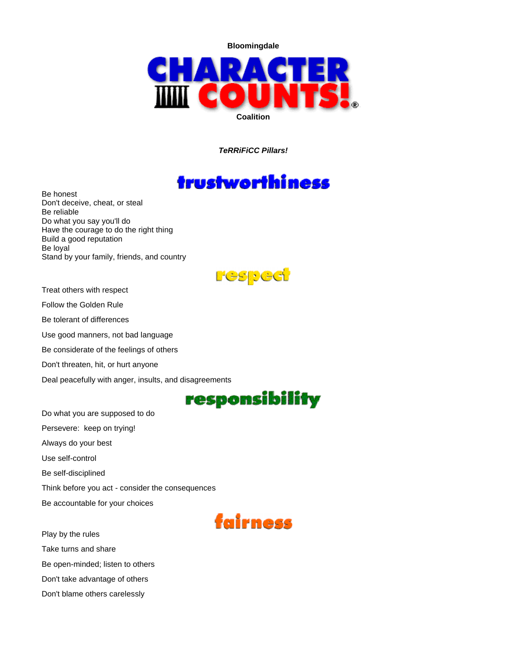**Bloomingdale**



*TeRRiFiCC Pillars!*

## trustworthiness

Be honest Don't deceive, cheat, or steal Be reliable Do what you say you'll do Have the courage to do the right thing Build a good reputation Be loyal Stand by your family, friends, and country



Treat others with respect

Follow the Golden Rule

Be tolerant of differences

Use good manners, not bad language

Be considerate of the feelings of others

Don't threaten, hit, or hurt anyone

Deal peacefully with anger, insults, and disagreements

## responsibility

Do what you are supposed to do Persevere: keep on trying! Always do your best Use self-control Be self-disciplined Think before you act - consider the consequences Be accountable for your choices



Play by the rules Take turns and share Be open-minded; listen to others Don't take advantage of others Don't blame others carelessly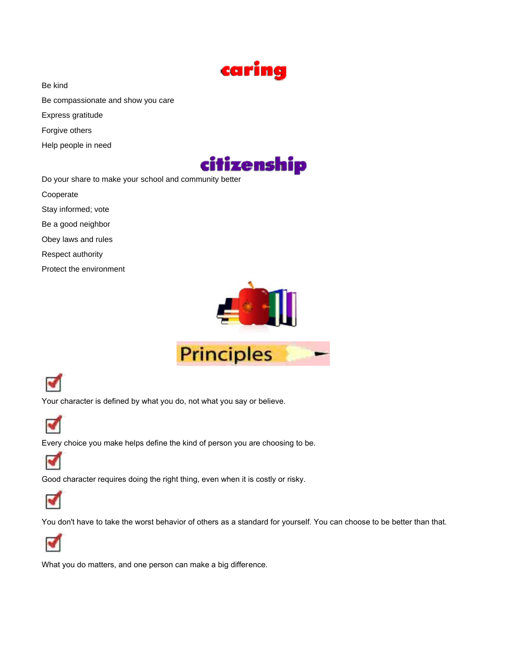

Be kind

- Be compassionate and show you care
- Express gratitude
- Forgive others
- Help people in need



Do your share to make your school and community better

- Cooperate
- Stay informed; vote
- Be a good neighbor
- Obey laws and rules
- Respect authority
- Protect the environment





Your character is defined by what you do, not what you say or believe.



Every choice you make helps define the kind of person you are choosing to be.



Good character requires doing the right thing, even when it is costly or risky.



You don't have to take the worst behavior of others as a standard for yourself. You can choose to be better than that.



What you do matters, and one person can make a big difference.